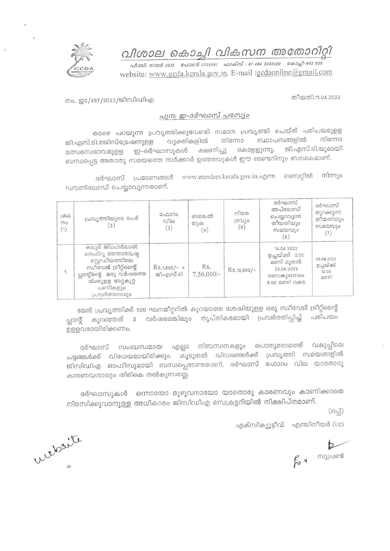

വിശാല കൊച്ചി വികസന അതോറിറ്റി

.<br>പി.ബി. നമ്പർ 2012 - ഫോൺ 2205061 - ഫാക്സ് : 91 484 2206230 - കൊച്ചി-682 020 website: www.gcda.kerala.gov.in. E-mail :gcdaonline@gmail.com

നം. ഇ2/497/2022/ജിസിഡിഎ

തീയതി.11.04.2022

## പുന: ഇ-ദർഘാസ് പരസ്യം

താഴെ പറയുന്ന പ്രവൃത്തിക്കുവേണ്ടി സമാന പ്രവൃത്തി ചെയ്ത് പരിചയമുളള വൃക്തികളിൽ നിന്നോ സ്ഥാപനങ്ങളിൽ നിന്നോ ജി.എസ്.ടി.രജിസ്ട്രേഷനുള്ള മത്സരസ്വഭാവമുളള ഇ–ദർഘാസുകൾ ക്ഷണിച്ചു കൊളളുന്നു. ജി.എസ്.ടി.യുമായി ബന്ധപ്പെട്ട അതാതു സമയത്തെ സർക്കാർ ഉത്തരവുകൾ ഈ ടെണ്ടറിനും ബാധകമാണ്.

നിന്നും ദർഘാസ് പ്രമാണങ്ങൾ www.etenders.kerala.gov.in.എന്ന സൈറ്റിൽ ഡൗൺലോഡ് ചെയ്യാവുന്നതാണ്.

| $L$ சி $D$<br>mo<br>(1) | പ്രവൃത്തിയുടെ പേര്<br>(2)                                                                                                                                      | ഫോറം<br>വില<br>(3)          | അടങ്കൽ<br>തുക<br>(4) | നിരത<br>ദ്രവിശ<br>(5) | ദർഘാസ്<br>അപ്ലോഡ്<br>ചെയ്യാവുന്ന<br>തീയതിയും<br>സമയവും<br>(6)                         | ദർഘാസ്<br>തുറക്കുന്ന<br>തീയതിയും<br>സമയവും<br>(7) |
|-------------------------|----------------------------------------------------------------------------------------------------------------------------------------------------------------|-----------------------------|----------------------|-----------------------|---------------------------------------------------------------------------------------|---------------------------------------------------|
| 1.                      | കലൂർ ജവഹർലാൽ<br>നെഹ്റു അന്താരാഷ്ട്ര<br>സ്റ്റേഡിയത്തിലെ<br>സ്വീവേജ് ട്രീറ്റ്മെന്റ്<br>പ്ലാന്റിന്റെ ഒരു വർഷത്തേ<br>യ്ക്കുളള അറ്റകുറ്റ<br>പണികളും<br>പ്രവർത്തനവും | $Rs.1,600/- +$<br>ജി.എസ്.ടി | Rs.<br>$7.56,000/-$  | $Rs.18,900/-$         | 14.04.2022<br>ഉച്ചയ്ക്ക് 2.00<br>മണി മുതൽ<br>23.04.2022<br>വൈകൂന്നേരം<br>5.00 മണി വരെ | 28.04.2022<br>ഉച്ചയ്ക്ക്<br>12.00<br>മണി          |

മേൽ പ്രവൃത്തിക്ക് 500 ഘനമീറ്ററിൽ കുറയാത്ത ശേഷിയുളള ഒരു സ്വീവേജ് ട്രീറ്റ്മെന്റ് 3 വർഷമെങ്കിലും തൃപ്തികരമായി പ്രവർത്തിപ്പിച്ച് പരിചയം പ്ലാന്റ് കുറഞ്ഞത് ഉള്ളവരായിരിക്കണം.

ദർഘാസ് സംബന്ധമായ എല്ലാ നിബന്ധനകളും പൊതുമരാമത്ത് വകുപ്പിലെ ചട്ടങ്ങൾക്ക് വിധേയമായിരിക്കും. കൂടുതൽ വിവരങ്ങൾക്ക് പ്രവൃത്തി സമയങ്ങളിൽ ജിസിഡിഎ ഓഫീസുമായി ബന്ധപ്പെടേണ്ടതാണ്. ദർഘാസ് ഫോറം വില യാതൊരു കാരണവശാലും തിരികെ നൽകുന്നതല്ല.

ദർഘാസുകൾ ഒന്നായോ മുഴുവനായോ യാതൊരു കാരണവും കാണിക്കാതെ നിരസിക്കുവാനുള്ള അധികാരം ജിസിഡിഎ സെക്രട്ടറിയിൽ നിക്ഷിപ്തമാണ്.

 $(632)$ 

എക്സിക്യൂട്ടീവ് എഞ്ചിനീയർ (i/c)

 $f_{s}$   $\sim$   $h_{\text{equation}}$ 

wederite